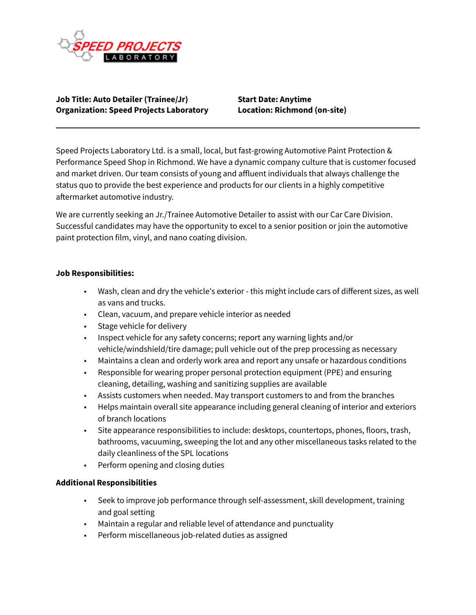

**Job Title: Auto Detailer (Trainee/Jr) Start Date: Anytime Organization: Speed Projects Laboratory Location: Richmond (on-site)**

Speed Projects Laboratory Ltd. is a small, local, but fast-growing Automotive Paint Protection & Performance Speed Shop in Richmond. We have a dynamic company culture that is customer focused and market driven. Our team consists of young and affluent individuals that always challenge the status quo to provide the best experience and products for our clients in a highly competitive aftermarket automotive industry.

We are currently seeking an Jr./Trainee Automotive Detailer to assist with our Car Care Division. Successful candidates may have the opportunity to excel to a senior position or join the automotive paint protection film, vinyl, and nano coating division.

## **Job Responsibilities:**

- Wash, clean and dry the vehicle's exterior this might include cars of different sizes, as well as vans and trucks.
- Clean, vacuum, and prepare vehicle interior as needed
- Stage vehicle for delivery
- Inspect vehicle for any safety concerns; report any warning lights and/or vehicle/windshield/tire damage; pull vehicle out of the prep processing as necessary
- Maintains a clean and orderly work area and report any unsafe or hazardous conditions
- Responsible for wearing proper personal protection equipment (PPE) and ensuring cleaning, detailing, washing and sanitizing supplies are available
- Assists customers when needed. May transport customers to and from the branches
- Helps maintain overall site appearance including general cleaning of interior and exteriors of branch locations
- Site appearance responsibilities to include: desktops, countertops, phones, floors, trash, bathrooms, vacuuming, sweeping the lot and any other miscellaneous tasks related to the daily cleanliness of the SPL locations
- Perform opening and closing duties

## **Additional Responsibilities**

- Seek to improve job performance through self-assessment, skill development, training and goal setting
- Maintain a regular and reliable level of attendance and punctuality
- Perform miscellaneous job-related duties as assigned